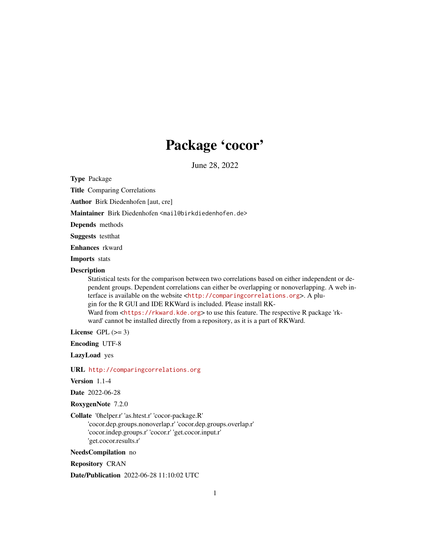# Package 'cocor'

June 28, 2022

<span id="page-0-0"></span>Type Package

Title Comparing Correlations

Author Birk Diedenhofen [aut, cre]

Maintainer Birk Diedenhofen <mail@birkdiedenhofen.de>

Depends methods

Suggests testthat

Enhances rkward

Imports stats

#### **Description**

Statistical tests for the comparison between two correlations based on either independent or dependent groups. Dependent correlations can either be overlapping or nonoverlapping. A web interface is available on the website <<http://comparingcorrelations.org>>. A plugin for the R GUI and IDE RKWard is included. Please install RKWard from <<https://rkward.kde.org>> to use this feature. The respective R package 'rkward' cannot be installed directly from a repository, as it is a part of RKWard.

License GPL  $(>= 3)$ 

Encoding UTF-8

LazyLoad yes

URL <http://comparingcorrelations.org>

Version 1.1-4

Date 2022-06-28

RoxygenNote 7.2.0

Collate '0helper.r' 'as.htest.r' 'cocor-package.R'

'cocor.dep.groups.nonoverlap.r' 'cocor.dep.groups.overlap.r' 'cocor.indep.groups.r' 'cocor.r' 'get.cocor.input.r' 'get.cocor.results.r'

NeedsCompilation no

Repository CRAN

Date/Publication 2022-06-28 11:10:02 UTC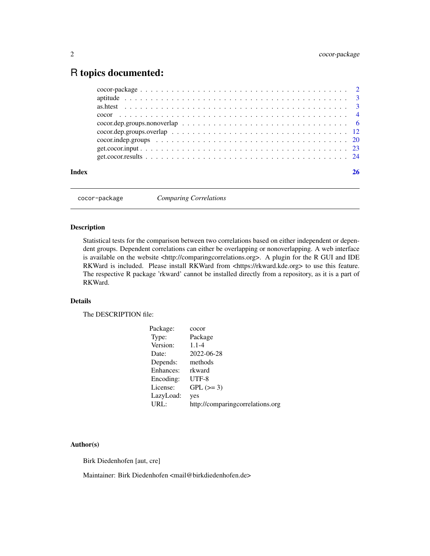# <span id="page-1-0"></span>R topics documented:

| Index |  |
|-------|--|

cocor-package *Comparing Correlations*

#### Description

Statistical tests for the comparison between two correlations based on either independent or dependent groups. Dependent correlations can either be overlapping or nonoverlapping. A web interface is available on the website <http://comparingcorrelations.org>. A plugin for the R GUI and IDE RKWard is included. Please install RKWard from <https://rkward.kde.org> to use this feature. The respective R package 'rkward' cannot be installed directly from a repository, as it is a part of RKWard.

#### Details

The DESCRIPTION file:

| Package:  | cocor                            |
|-----------|----------------------------------|
| Type:     | Package                          |
| Version:  | $1.1 - 4$                        |
| Date:     | 2022-06-28                       |
| Depends:  | methods                          |
| Enhances: | rkward                           |
| Encoding: | UTF-8                            |
| License:  | $GPL (=3)$                       |
| LazyLoad: | yes                              |
| URL:      | http://comparingcorrelations.org |
|           |                                  |

#### Author(s)

Birk Diedenhofen [aut, cre]

Maintainer: Birk Diedenhofen <mail@birkdiedenhofen.de>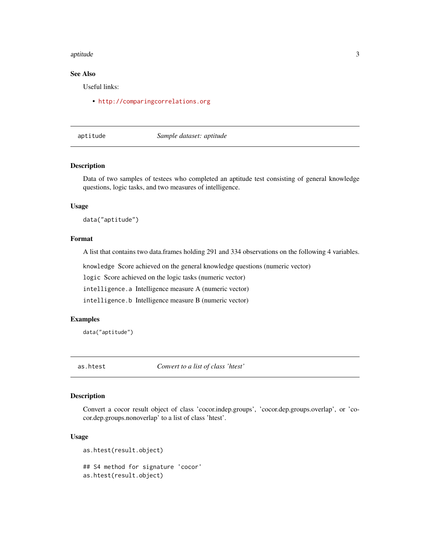#### <span id="page-2-0"></span>aptitude 3

#### See Also

Useful links:

• <http://comparingcorrelations.org>

aptitude *Sample dataset: aptitude*

#### Description

Data of two samples of testees who completed an aptitude test consisting of general knowledge questions, logic tasks, and two measures of intelligence.

#### Usage

data("aptitude")

#### Format

A list that contains two data.frames holding 291 and 334 observations on the following 4 variables.

knowledge Score achieved on the general knowledge questions (numeric vector)

logic Score achieved on the logic tasks (numeric vector)

intelligence.a Intelligence measure A (numeric vector)

intelligence.b Intelligence measure B (numeric vector)

#### Examples

data("aptitude")

<span id="page-2-1"></span>as.htest *Convert to a list of class 'htest'*

#### Description

Convert a cocor result object of class 'cocor.indep.groups', 'cocor.dep.groups.overlap', or 'cocor.dep.groups.nonoverlap' to a list of class 'htest'.

#### Usage

```
as.htest(result.object)
## S4 method for signature 'cocor'
as.htest(result.object)
```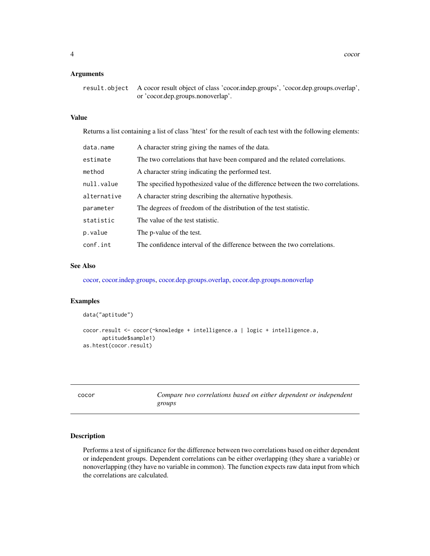#### <span id="page-3-0"></span>Arguments

| result.object A cocor result object of class 'cocor.indep.groups', 'cocor.dep.groups.overlap', |
|------------------------------------------------------------------------------------------------|
| or 'cocor.dep.groups.nonoverlap'.                                                              |

#### Value

Returns a list containing a list of class 'htest' for the result of each test with the following elements:

| data.name   | A character string giving the names of the data.                                 |
|-------------|----------------------------------------------------------------------------------|
| estimate    | The two correlations that have been compared and the related correlations.       |
| method      | A character string indicating the performed test.                                |
| null.value  | The specified hypothesized value of the difference between the two correlations. |
| alternative | A character string describing the alternative hypothesis.                        |
| parameter   | The degrees of freedom of the distribution of the test statistic.                |
| statistic   | The value of the test statistic.                                                 |
| p.value     | The p-value of the test.                                                         |
| conf.int    | The confidence interval of the difference between the two correlations.          |

#### See Also

[cocor,](#page-3-1) [cocor.indep.groups,](#page-19-1) [cocor.dep.groups.overlap,](#page-11-1) [cocor.dep.groups.nonoverlap](#page-5-1)

#### Examples

```
data("aptitude")
cocor.result <- cocor(~knowledge + intelligence.a | logic + intelligence.a,
      aptitude$sample1)
as.htest(cocor.result)
```
<span id="page-3-1"></span>cocor *Compare two correlations based on either dependent or independent groups*

#### Description

Performs a test of significance for the difference between two correlations based on either dependent or independent groups. Dependent correlations can be either overlapping (they share a variable) or nonoverlapping (they have no variable in common). The function expects raw data input from which the correlations are calculated.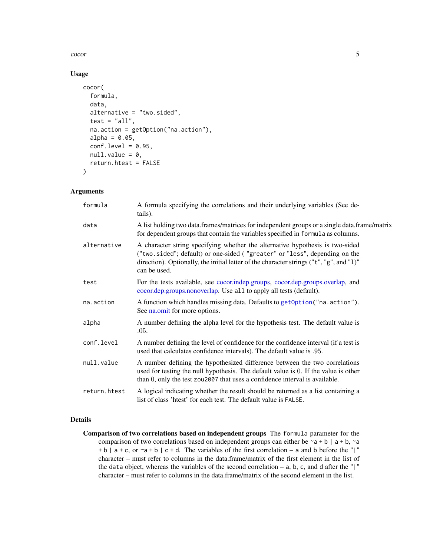<span id="page-4-0"></span>cocor 5

#### Usage

```
cocor(
  formula,
  data,
  alternative = "two.sided",
  test = "all",na.action = getOption("na.action"),
  alpha = 0.05,
  conf. level = 0.95,null.value = 0,return.htest = FALSE
)
```
#### Arguments

| formula      | A formula specifying the correlations and their underlying variables (See de-<br>tails).                                                                                                                                                                               |
|--------------|------------------------------------------------------------------------------------------------------------------------------------------------------------------------------------------------------------------------------------------------------------------------|
| data         | A list holding two data.frames/matrices for independent groups or a single data.frame/matrix<br>for dependent groups that contain the variables specified in formula as columns.                                                                                       |
| alternative  | A character string specifying whether the alternative hypothesis is two-sided<br>("two.sided"; default) or one-sided ("greater" or "less", depending on the<br>direction). Optionally, the initial letter of the character strings ("t", "g", and "1)"<br>can be used. |
| test         | For the tests available, see cocor.indep.groups, cocor.dep.groups.overlap, and<br>cocor.dep.groups.nonoverlap. Use all to apply all tests (default).                                                                                                                   |
| na.action    | A function which handles missing data. Defaults to getOption("na.action").<br>See na.omit for more options.                                                                                                                                                            |
| alpha        | A number defining the alpha level for the hypothesis test. The default value is<br>.05.                                                                                                                                                                                |
| conf.level   | A number defining the level of confidence for the confidence interval (if a test is<br>used that calculates confidence intervals). The default value is 0.95.                                                                                                          |
| null.value   | A number defining the hypothesized difference between the two correlations<br>used for testing the null hypothesis. The default value is 0. If the value is other<br>than 0, only the test zou2007 that uses a confidence interval is available.                       |
| return.htest | A logical indicating whether the result should be returned as a list containing a<br>list of class 'htest' for each test. The default value is FALSE.                                                                                                                  |

#### Details

Comparison of two correlations based on independent groups The formula parameter for the comparison of two correlations based on independent groups can either be  $\sim$  a + b | a + b,  $\sim$  a  $+ b$  | a + c, or  $\sim$  a + b | c + d. The variables of the first correlation – a and b before the "|" character – must refer to columns in the data.frame/matrix of the first element in the list of the data object, whereas the variables of the second correlation  $-$  a, b, c, and d after the " $\vert$ " character – must refer to columns in the data.frame/matrix of the second element in the list.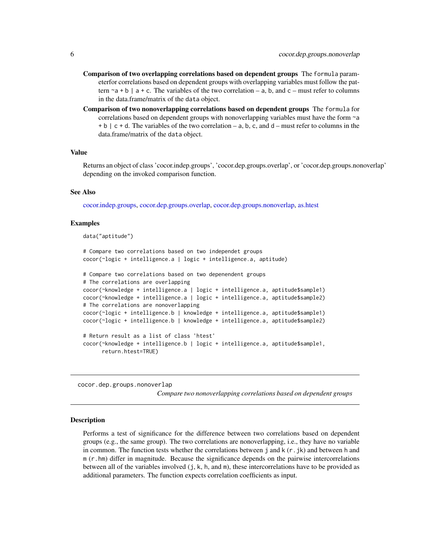- <span id="page-5-0"></span>Comparison of two overlapping correlations based on dependent groups The formula parameterfor correlations based on dependent groups with overlapping variables must follow the pattern  $\sim a + b$  | a + c. The variables of the two correlation – a, b, and c – must refer to columns in the data.frame/matrix of the data object.
- Comparison of two nonoverlapping correlations based on dependent groups The formula for correlations based on dependent groups with nonoverlapping variables must have the form ~a  $+ b$  | c + d. The variables of the two correlation – a, b, c, and d – must refer to columns in the data.frame/matrix of the data object.

#### Value

Returns an object of class 'cocor.indep.groups', 'cocor.dep.groups.overlap', or 'cocor.dep.groups.nonoverlap' depending on the invoked comparison function.

#### See Also

[cocor.indep.groups,](#page-19-1) [cocor.dep.groups.overlap,](#page-11-1) [cocor.dep.groups.nonoverlap,](#page-5-1) [as.htest](#page-2-1)

#### Examples

data("aptitude")

```
# Compare two correlations based on two independet groups
cocor(~logic + intelligence.a | logic + intelligence.a, aptitude)
# Compare two correlations based on two depenendent groups
# The correlations are overlapping
cocor(~knowledge + intelligence.a | logic + intelligence.a, aptitude$sample1)
cocor(~knowledge + intelligence.a | logic + intelligence.a, aptitude$sample2)
# The correlations are nonoverlapping
cocor(~logic + intelligence.b | knowledge + intelligence.a, aptitude$sample1)
cocor(~logic + intelligence.b | knowledge + intelligence.a, aptitude$sample2)
# Return result as a list of class 'htest'
cocor(~knowledge + intelligence.b | logic + intelligence.a, aptitude$sample1,
      return.htest=TRUE)
```
<span id="page-5-1"></span>cocor.dep.groups.nonoverlap

*Compare two nonoverlapping correlations based on dependent groups*

#### Description

Performs a test of significance for the difference between two correlations based on dependent groups (e.g., the same group). The two correlations are nonoverlapping, i.e., they have no variable in common. The function tests whether the correlations between j and  $k(r, jk)$  and between h and m (r.hm) differ in magnitude. Because the significance depends on the pairwise intercorrelations between all of the variables involved (j, k, h, and m), these intercorrelations have to be provided as additional parameters. The function expects correlation coefficients as input.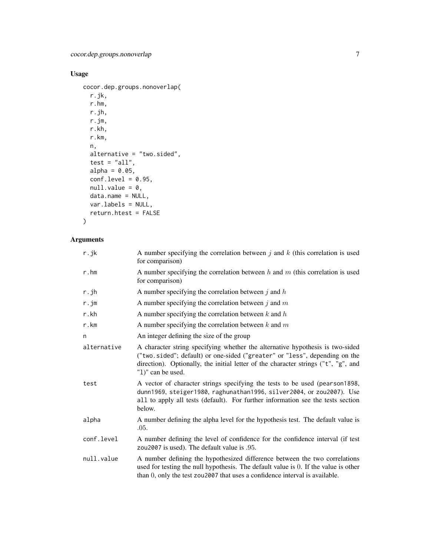### Usage

```
cocor.dep.groups.nonoverlap(
  r.jk,
  r.hm,
  r.jh,
  r.jm,
  r.kh,
  r.km,
  n,
  alternative = "two.sided",
  test = "all",alpha = 0.05,
  conf.level = 0.95,null.value = 0,data.name = NULL,
  var.labels = NULL,
  return.htest = FALSE
\mathcal{L}
```
#### Arguments

| r.jk        | A number specifying the correlation between $j$ and $k$ (this correlation is used<br>for comparison)                                                                                                                                                                   |
|-------------|------------------------------------------------------------------------------------------------------------------------------------------------------------------------------------------------------------------------------------------------------------------------|
| r.hm        | A number specifying the correlation between $h$ and $m$ (this correlation is used<br>for comparison)                                                                                                                                                                   |
| r.jh        | A number specifying the correlation between $j$ and $h$                                                                                                                                                                                                                |
| r.jm        | A number specifying the correlation between $j$ and $m$                                                                                                                                                                                                                |
| r.kh        | A number specifying the correlation between $k$ and $h$                                                                                                                                                                                                                |
| r.km        | A number specifying the correlation between $k$ and $m$                                                                                                                                                                                                                |
| n           | An integer defining the size of the group                                                                                                                                                                                                                              |
| alternative | A character string specifying whether the alternative hypothesis is two-sided<br>("two.sided"; default) or one-sided ("greater" or "less", depending on the<br>direction). Optionally, the initial letter of the character strings ("t", "g", and<br>"1)" can be used. |
| test        | A vector of character strings specifying the tests to be used (pearson1898,<br>dunn1969, steiger1980, raghunathan1996, silver2004, or zou2007). Use<br>all to apply all tests (default). For further information see the tests section<br>below.                       |
| alpha       | A number defining the alpha level for the hypothesis test. The default value is<br>.05.                                                                                                                                                                                |
| conf.level  | A number defining the level of confidence for the confidence interval (if test<br>zou2007 is used). The default value is .95.                                                                                                                                          |
| null.value  | A number defining the hypothesized difference between the two correlations<br>used for testing the null hypothesis. The default value is 0. If the value is other<br>than 0, only the test zou2007 that uses a confidence interval is available.                       |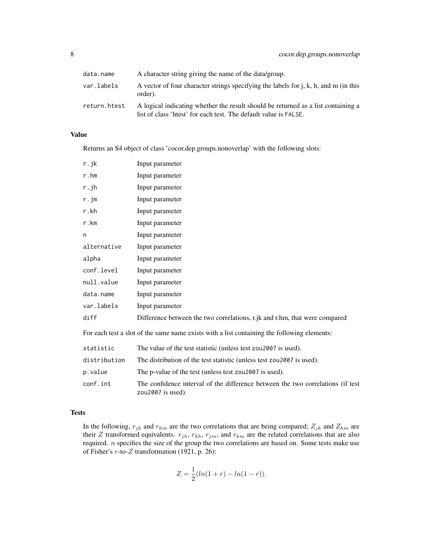| data.name    | A character string giving the name of the data/group.                                                                                                 |
|--------------|-------------------------------------------------------------------------------------------------------------------------------------------------------|
| var.labels   | A vector of four character strings specifying the labels for $j$ , $k$ , $h$ , and $m$ (in this<br>order).                                            |
| return.htest | A logical indicating whether the result should be returned as a list containing a<br>list of class 'htest' for each test. The default value is FALSE. |

#### Value

Returns an S4 object of class 'cocor.dep.groups.nonoverlap' with the following slots:

| r.jk        | Input parameter                                                            |
|-------------|----------------------------------------------------------------------------|
| $r.$ hm     | Input parameter                                                            |
| r.jh        | Input parameter                                                            |
| r . j m     | Input parameter                                                            |
| r.kh        | Input parameter                                                            |
| r.km        | Input parameter                                                            |
| n           | Input parameter                                                            |
| alternative | Input parameter                                                            |
| alpha       | Input parameter                                                            |
| conf.level  | Input parameter                                                            |
| null.value  | Input parameter                                                            |
| data.name   | Input parameter                                                            |
| var.labels  | Input parameter                                                            |
| diff        | Difference between the two correlations, r.jk and r.hm, that were compared |

For each test a slot of the same name exists with a list containing the following elements:

| statistic    | The value of the test statistic (unless test zou 2007 is used).                                         |
|--------------|---------------------------------------------------------------------------------------------------------|
| distribution | The distribution of the test statistic (unless test zou2007 is used).                                   |
| p.value      | The p-value of the test (unless test zou2007 is used).                                                  |
| conf.int     | The confidence interval of the difference between the two correlations (if test<br>zou $2007$ is used). |

#### Tests

In the following,  $r_{jk}$  and  $r_{hm}$  are the two correlations that are being compared;  $Z_{jk}$  and  $Z_{hm}$  are their Z transformed equivalents.  $r_{jh}$ ,  $r_{kh}$ ,  $r_{jm}$ , and  $r_{km}$  are the related correlations that are also required. n specifies the size of the group the two correlations are based on. Some tests make use of Fisher's r-to-Z transformation (1921, p. 26):

$$
Z = \frac{1}{2}(ln(1+r) - ln(1-r)).
$$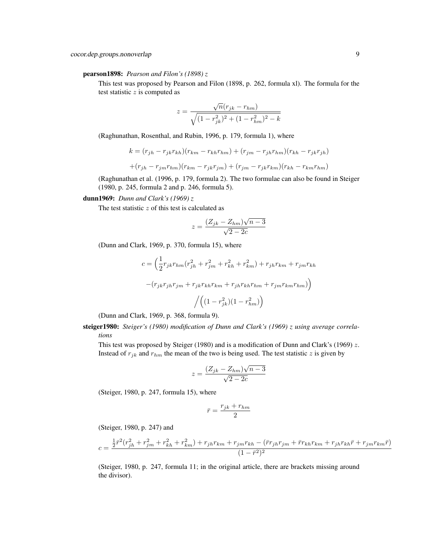#### pearson1898: *Pearson and Filon's (1898) z*

This test was proposed by Pearson and Filon (1898, p. 262, formula xl). The formula for the test statistic  $z$  is computed as

$$
z = \frac{\sqrt{n}(r_{jk} - r_{hm})}{\sqrt{(1 - r_{jk}^2)^2 + (1 - r_{hm}^2)^2 - k}}
$$

(Raghunathan, Rosenthal, and Rubin, 1996, p. 179, formula 1), where

$$
k = (r_{jh} - r_{jk}r_{kh})(r_{km} - r_{kh}r_{hm}) + (r_{jm} - r_{jh}r_{hm})(r_{kh} - r_{jk}r_{jh})
$$

$$
+ (r_{jh} - r_{jm}r_{hm})(r_{km} - r_{jk}r_{jm}) + (r_{jm} - r_{jk}r_{km})(r_{kh} - r_{km}r_{hm})
$$

(Raghunathan et al. (1996, p. 179, formula 2). The two formulae can also be found in Steiger (1980, p. 245, formula 2 and p. 246, formula 5).

#### dunn1969: *Dunn and Clark's (1969) z*

The test statistic  $z$  of this test is calculated as

$$
z = \frac{(Z_{jk} - Z_{hm})\sqrt{n-3}}{\sqrt{2 - 2c}}
$$

(Dunn and Clark, 1969, p. 370, formula 15), where

$$
c = \left(\frac{1}{2}r_{jk}r_{hm}(r_{jh}^2 + r_{jm}^2 + r_{kh}^2 + r_{km}^2) + r_{jh}r_{km} + r_{jm}r_{kh}\right)
$$

$$
-(r_{jk}r_{jh}r_{jm} + r_{jk}r_{kh}r_{km} + r_{jh}r_{kh}r_{hm} + r_{jm}r_{km}r_{hm})\Bigg) / \Big((1 - r_{jk}^2)(1 - r_{hm}^2)\Bigg)
$$

(Dunn and Clark, 1969, p. 368, formula 9).

steiger1980: *Steiger's (1980) modification of Dunn and Clark's (1969) z using average correlations*

This test was proposed by Steiger (1980) and is a modification of Dunn and Clark's (1969)  $z$ . Instead of  $r_{jk}$  and  $r_{hm}$  the mean of the two is being used. The test statistic z is given by

$$
z = \frac{(Z_{jk} - Z_{hm})\sqrt{n-3}}{\sqrt{2 - 2c}}
$$

(Steiger, 1980, p. 247, formula 15), where

$$
\bar{r} = \frac{r_{jk} + r_{hm}}{2}
$$

(Steiger, 1980, p. 247) and

$$
c = \frac{\frac{1}{2}\bar{r}^2(r_{jh}^2 + r_{jm}^2 + r_{kh}^2 + r_{km}^2) + r_{jh}r_{km} + r_{jm}r_{kh} - (\bar{r}r_{jh}r_{jm} + \bar{r}r_{kh}r_{km} + r_{jh}r_{kh}\bar{r} + r_{jm}r_{km}\bar{r})}{(1 - \bar{r}^2)^2}
$$

(Steiger, 1980, p. 247, formula 11; in the original article, there are brackets missing around the divisor).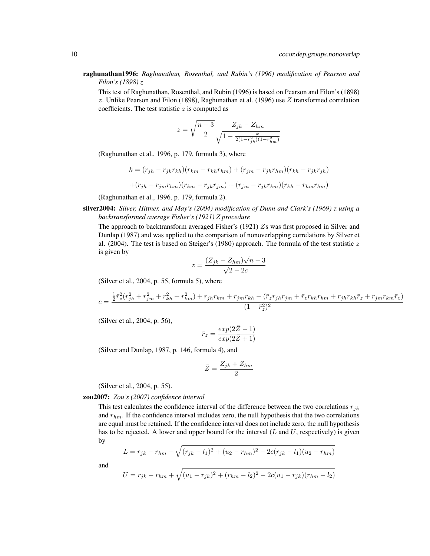raghunathan1996: *Raghunathan, Rosenthal, and Rubin's (1996) modification of Pearson and Filon's (1898) z*

This test of Raghunathan, Rosenthal, and Rubin (1996) is based on Pearson and Filon's (1898)  $z$ . Unlike Pearson and Filon (1898), Raghunathan et al. (1996) use  $Z$  transformed correlation coefficients. The test statistic  $z$  is computed as

$$
z = \sqrt{\frac{n-3}{2}} \frac{Z_{jk} - Z_{hm}}{\sqrt{1 - \frac{k}{2(1 - r_{jk}^2)(1 - r_{hm}^2)}}}
$$

(Raghunathan et al., 1996, p. 179, formula 3), where

$$
k = (r_{jh} - r_{jk}r_{kh})(r_{km} - r_{kh}r_{hm}) + (r_{jm} - r_{jh}r_{hm})(r_{kh} - r_{jk}r_{jh})
$$

$$
+(r_{jh} - r_{jm}r_{hm})(r_{km} - r_{jk}r_{jm}) + (r_{jm} - r_{jk}r_{km})(r_{kh} - r_{km}r_{hm})
$$

(Raghunathan et al., 1996, p. 179, formula 2).

silver2004: *Silver, Hittner, and May's (2004) modification of Dunn and Clark's (1969) z using a backtransformed average Fisher's (1921) Z procedure*

The approach to backtransform averaged Fisher's (1921) Zs was first proposed in Silver and Dunlap (1987) and was applied to the comparison of nonoverlapping correlations by Silver et al. (2004). The test is based on Steiger's (1980) approach. The formula of the test statistic  $z$ is given by √

$$
z = \frac{(Z_{jk} - Z_{hm})\sqrt{n-3}}{\sqrt{2-2c}}
$$

(Silver et al., 2004, p. 55, formula 5), where

$$
c=\frac{\frac{1}{2}\bar{r}_z^2(r_{jh}^2+r_{jm}^2+r_{kh}^2+r_{km}^2)+r_{jh}r_{km}+r_{jm}r_{kh}-(\bar{r}_z r_{jh}r_{jm}+\bar{r}_z r_{kh}r_{km}+r_{jh}r_{kh}\bar{r}_z+r_{jm}r_{km}\bar{r}_z)}{(1-\bar{r}_z^2)^2}
$$

(Silver et al., 2004, p. 56),

$$
\bar{r}_z = \frac{\exp(2\bar{Z} - 1)}{\exp(2\bar{Z} + 1)}
$$

(Silver and Dunlap, 1987, p. 146, formula 4), and

$$
\bar{Z} = \frac{Z_{jk} + Z_{hm}}{2}
$$

(Silver et al., 2004, p. 55).

zou2007: *Zou's (2007) confidence interval*

This test calculates the confidence interval of the difference between the two correlations  $r_{ik}$ and  $r_{hm}$ . If the confidence interval includes zero, the null hypothesis that the two correlations are equal must be retained. If the confidence interval does not include zero, the null hypothesis has to be rejected. A lower and upper bound for the interval  $(L \text{ and } U, \text{ respectively})$  is given by

$$
L = r_{jk} - r_{hm} - \sqrt{(r_{jk} - l_1)^2 + (u_2 - r_{hm})^2 - 2c(r_{jk} - l_1)(u_2 - r_{hm})}
$$

and

$$
U = r_{jk} - r_{hm} + \sqrt{(u_1 - r_{jk})^2 + (r_{hm} - l_2)^2 - 2c(u_1 - r_{jk})(r_{hm} - l_2)}
$$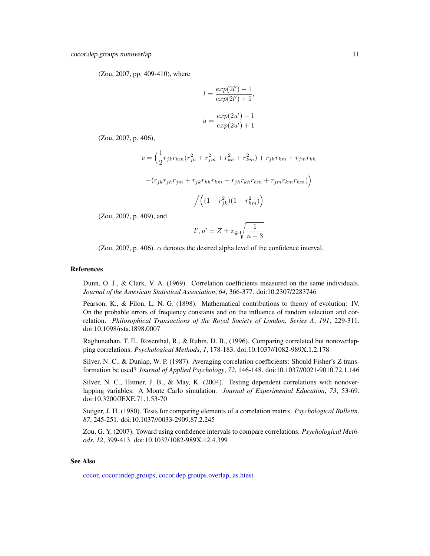<span id="page-10-0"></span>(Zou, 2007, pp. 409-410), where

$$
l = \frac{exp(2l') - 1}{exp(2l') + 1},
$$
  

$$
u = \frac{exp(2u') - 1}{exp(2u') + 1}
$$

(Zou, 2007, p. 406),

$$
c = \left(\frac{1}{2}r_{jk}r_{hm}(r_{jh}^2 + r_{jm}^2 + r_{kh}^2 + r_{km}^2) + r_{jh}r_{km} + r_{jm}r_{kh}\right)
$$

$$
-\big(r_{jk}r_{jh}r_{jm}+r_{jk}r_{kh}r_{km}+r_{jh}r_{kh}r_{hm}+r_{jm}r_{km}r_{hm}\big)\Big)
$$

$$
\Big/\Big((1-r_{jk}^2)(1-r_{hm}^2)\Big)
$$

(Zou, 2007, p. 409), and

$$
l',u'=Z\pm z_{\frac{\alpha}{2}}\sqrt{\frac{1}{n-3}}
$$

(Zou, 2007, p. 406).  $\alpha$  denotes the desired alpha level of the confidence interval.

#### References

Dunn, O. J., & Clark, V. A. (1969). Correlation coefficients measured on the same individuals. *Journal of the American Statistical Association*, *64*, 366-377. doi:10.2307/2283746

Pearson, K., & Filon, L. N. G. (1898). Mathematical contributions to theory of evolution: IV. On the probable errors of frequency constants and on the influence of random selection and correlation. *Philosophical Transactions of the Royal Society of London, Series A*, *191*, 229-311. doi:10.1098/rsta.1898.0007

Raghunathan, T. E., Rosenthal, R., & Rubin, D. B., (1996). Comparing correlated but nonoverlapping correlations. *Psychological Methods*, *1*, 178-183. doi:10.1037//1082-989X.1.2.178

Silver, N. C., & Dunlap, W. P. (1987). Averaging correlation coefficients: Should Fisher's Z transformation be used? *Journal of Applied Psychology*, *72*, 146-148. doi:10.1037//0021-9010.72.1.146

Silver, N. C., Hittner, J. B., & May, K. (2004). Testing dependent correlations with nonoverlapping variables: A Monte Carlo simulation. *Journal of Experimental Education*, *73*, 53-69. doi:10.3200/JEXE.71.1.53-70

Steiger, J. H. (1980). Tests for comparing elements of a correlation matrix. *Psychological Bulletin*, *87*, 245-251. doi:10.1037//0033-2909.87.2.245

Zou, G. Y. (2007). Toward using confidence intervals to compare correlations. *Psychological Methods*, *12*, 399-413. doi:10.1037/1082-989X.12.4.399

#### See Also

[cocor,](#page-3-1) [cocor.indep.groups,](#page-19-1) [cocor.dep.groups.overlap,](#page-11-1) [as.htest](#page-2-1)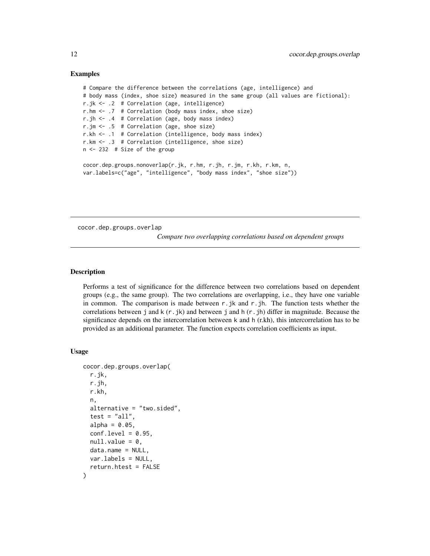#### Examples

```
# Compare the difference between the correlations (age, intelligence) and
# body mass (index, shoe size) measured in the same group (all values are fictional):
r.jk <- .2 # Correlation (age, intelligence)
r.hm <- .7 # Correlation (body mass index, shoe size)
r.jh <- .4 # Correlation (age, body mass index)
r.jm <- .5 # Correlation (age, shoe size)
r.kh <- .1 # Correlation (intelligence, body mass index)
r.km <- .3 # Correlation (intelligence, shoe size)
n <- 232 # Size of the group
cocor.dep.groups.nonoverlap(r.jk, r.hm, r.jh, r.jm, r.kh, r.km, n,
var.labels=c("age", "intelligence", "body mass index", "shoe size"))
```
<span id="page-11-1"></span>cocor.dep.groups.overlap

*Compare two overlapping correlations based on dependent groups*

#### Description

Performs a test of significance for the difference between two correlations based on dependent groups (e.g., the same group). The two correlations are overlapping, i.e., they have one variable in common. The comparison is made between  $r$ . jk and  $r$ . jh. The function tests whether the correlations between j and  $k(r, jk)$  and between j and  $h(r, jh)$  differ in magnitude. Because the significance depends on the intercorrelation between k and h (r.kh), this intercorrelation has to be provided as an additional parameter. The function expects correlation coefficients as input.

#### Usage

```
cocor.dep.groups.overlap(
  r.jk,
  r.jh,
  r.kh,
  n,
  alternative = "two.sided",
  test = "all",alpha = 0.05,
  conf<math>. level = 0.95.
  null.value = 0,
  data.name = NULL,
  var.labels = NULL,
  return.htest = FALSE
)
```
<span id="page-11-0"></span>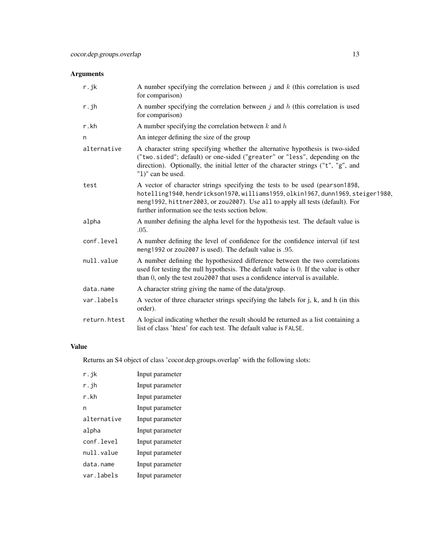### Arguments

| r.jk         | A number specifying the correlation between $j$ and $k$ (this correlation is used<br>for comparison)                                                                                                                                                                                                |
|--------------|-----------------------------------------------------------------------------------------------------------------------------------------------------------------------------------------------------------------------------------------------------------------------------------------------------|
| r.jh         | A number specifying the correlation between $j$ and $h$ (this correlation is used<br>for comparison)                                                                                                                                                                                                |
| r.kh         | A number specifying the correlation between $k$ and $h$                                                                                                                                                                                                                                             |
| n            | An integer defining the size of the group                                                                                                                                                                                                                                                           |
| alternative  | A character string specifying whether the alternative hypothesis is two-sided<br>("two.sided"; default) or one-sided ("greater" or "less", depending on the<br>direction). Optionally, the initial letter of the character strings ("t", "g", and<br>"1)" can be used.                              |
| test         | A vector of character strings specifying the tests to be used (pearson1898,<br>hotelling1940, hendrickson1970, williams1959, olkin1967, dunn1969, steiger1980,<br>meng1992, hittner2003, or zou2007). Use all to apply all tests (default). For<br>further information see the tests section below. |
| alpha        | A number defining the alpha level for the hypothesis test. The default value is<br>.05.                                                                                                                                                                                                             |
| conf.level   | A number defining the level of confidence for the confidence interval (if test<br>meng1992 or zou2007 is used). The default value is .95.                                                                                                                                                           |
| null.value   | A number defining the hypothesized difference between the two correlations<br>used for testing the null hypothesis. The default value is 0. If the value is other<br>than 0, only the test zou2007 that uses a confidence interval is available.                                                    |
| data.name    | A character string giving the name of the data/group.                                                                                                                                                                                                                                               |
| var.labels   | A vector of three character strings specifying the labels for j, k, and h (in this<br>order).                                                                                                                                                                                                       |
| return.htest | A logical indicating whether the result should be returned as a list containing a<br>list of class 'htest' for each test. The default value is FALSE.                                                                                                                                               |

## Value

Returns an S4 object of class 'cocor.dep.groups.overlap' with the following slots:

| r. ik       | Input parameter |
|-------------|-----------------|
| r.jh        | Input parameter |
| r.kh        | Input parameter |
| n           | Input parameter |
| alternative | Input parameter |
| alpha       | Input parameter |
| conf.level  | Input parameter |
| null.value  | Input parameter |
| data.name   | Input parameter |
| var labels  | Input parameter |
|             |                 |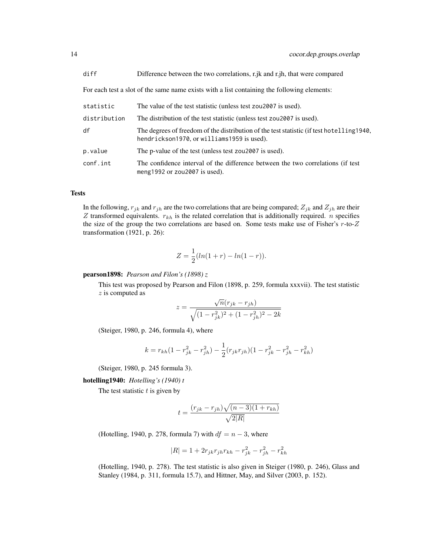For each test a slot of the same name exists with a list containing the following elements:

| The value of the test statistic (unless test zou 2007 is used).                                                                         |
|-----------------------------------------------------------------------------------------------------------------------------------------|
| The distribution of the test statistic (unless test zou2007 is used).                                                                   |
| The degrees of freedom of the distribution of the test statistic (if test hotelling 1940,<br>hendrickson1970, or williams1959 is used). |
| The p-value of the test (unless test zou2007 is used).                                                                                  |
| The confidence interval of the difference between the two correlations (if test<br>meng 1992 or $z$ ou 2007 is used).                   |
|                                                                                                                                         |

#### **Tests**

In the following,  $r_{jk}$  and  $r_{jh}$  are the two correlations that are being compared;  $Z_{jk}$  and  $Z_{jh}$  are their  $Z$  transformed equivalents.  $r_{kh}$  is the related correlation that is additionally required. *n* specifies the size of the group the two correlations are based on. Some tests make use of Fisher's  $r$ -to- $Z$ transformation (1921, p. 26):

$$
Z = \frac{1}{2}(ln(1+r) - ln(1-r)).
$$

pearson1898: *Pearson and Filon's (1898) z*

This test was proposed by Pearson and Filon (1898, p. 259, formula xxxvii). The test statistic z is computed as √

$$
z = \frac{\sqrt{n}(r_{jk} - r_{jh})}{\sqrt{(1 - r_{jk}^2)^2 + (1 - r_{jh}^2)^2 - 2k}}
$$

(Steiger, 1980, p. 246, formula 4), where

$$
k = r_{kh}(1 - r_{jk}^2 - r_{jh}^2) - \frac{1}{2}(r_{jk}r_{jh})(1 - r_{jk}^2 - r_{jh}^2 - r_{kh}^2)
$$

(Steiger, 1980, p. 245 formula 3).

hotelling1940: *Hotelling's (1940) t*

The test statistic  $t$  is given by

$$
t = \frac{(r_{jk} - r_{jh})\sqrt{(n-3)(1 + r_{kh})}}{\sqrt{2|R|}}
$$

(Hotelling, 1940, p. 278, formula 7) with  $df = n - 3$ , where

$$
|R| = 1 + 2r_{jk}r_{jh}r_{kh} - r_{jk}^2 - r_{jh}^2 - r_{kh}^2
$$

(Hotelling, 1940, p. 278). The test statistic is also given in Steiger (1980, p. 246), Glass and Stanley (1984, p. 311, formula 15.7), and Hittner, May, and Silver (2003, p. 152).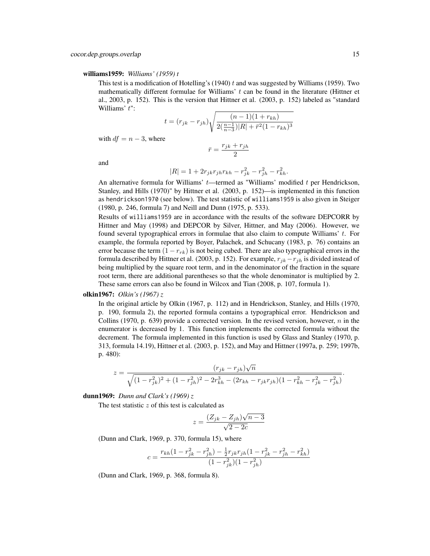#### williams1959: *Williams' (1959) t*

This test is a modification of Hotelling's (1940) t and was suggested by Williams (1959). Two mathematically different formulae for Williams'  $t$  can be found in the literature (Hittner et al., 2003, p. 152). This is the version that Hittner et al. (2003, p. 152) labeled as "standard Williams' t":

$$
t = (r_{jk} - r_{jh}) \sqrt{\frac{(n-1)(1 + r_{kh})}{2(\frac{n-1}{n-3})|R| + \bar{r}^2 (1 - r_{kh})^3}}
$$

with  $df = n - 3$ , where

$$
\bar{r} = \frac{r_{jk} + r_{jh}}{2}
$$

and

$$
|R| = 1 + 2r_{jk}r_{jh}r_{kh} - r_{jk}^2 - r_{jh}^2 - r_{kh}^2.
$$

An alternative formula for Williams'  $t$ —termed as "Williams' modified  $t$  per Hendrickson, Stanley, and Hills (1970)" by Hittner et al. (2003, p. 152)—is implemented in this function as hendrickson1970 (see below). The test statistic of williams1959 is also given in Steiger (1980, p. 246, formula 7) and Neill and Dunn (1975, p. 533).

Results of williams1959 are in accordance with the results of the software DEPCORR by Hittner and May (1998) and DEPCOR by Silver, Hittner, and May (2006). However, we found several typographical errors in formulae that also claim to compute Williams'  $t$ . For example, the formula reported by Boyer, Palachek, and Schucany (1983, p. 76) contains an error because the term  $(1 - r_{rk})$  is not being cubed. There are also typographical errors in the formula described by Hittner et al. (2003, p. 152). For example,  $r_{jk}-r_{jh}$  is divided instead of being multiplied by the square root term, and in the denominator of the fraction in the square root term, there are additional parentheses so that the whole denominator is multiplied by 2. These same errors can also be found in Wilcox and Tian (2008, p. 107, formula 1).

#### olkin1967: *Olkin's (1967) z*

In the original article by Olkin (1967, p. 112) and in Hendrickson, Stanley, and Hills (1970, p. 190, formula 2), the reported formula contains a typographical error. Hendrickson and Collins (1970, p. 639) provide a corrected version. In the revised version, however,  $n$  in the enumerator is decreased by 1. This function implements the corrected formula without the decrement. The formula implemented in this function is used by Glass and Stanley (1970, p. 313, formula 14.19), Hittner et al. (2003, p. 152), and May and Hittner (1997a, p. 259; 1997b, p. 480):

$$
z = \frac{(r_{jk} - r_{jh})\sqrt{n}}{\sqrt{(1 - r_{jk}^2)^2 + (1 - r_{jh}^2)^2 - 2r_{kh}^3 - (2r_{kh} - r_{jk}r_{jh})(1 - r_{kh}^2 - r_{jk}^2 - r_{jh}^2)}}.
$$

dunn1969: *Dunn and Clark's (1969) z*

The test statistic  $z$  of this test is calculated as

$$
z = \frac{(Z_{jk} - Z_{jh})\sqrt{n-3}}{\sqrt{2-2c}}
$$

(Dunn and Clark, 1969, p. 370, formula 15), where

$$
c = \frac{r_{kh}(1 - r_{jk}^2 - r_{jh}^2) - \frac{1}{2}r_{jk}r_{jh}(1 - r_{jk}^2 - r_{jh}^2 - r_{kh}^2)}{(1 - r_{jk}^2)(1 - r_{jh}^2)}
$$

(Dunn and Clark, 1969, p. 368, formula 8).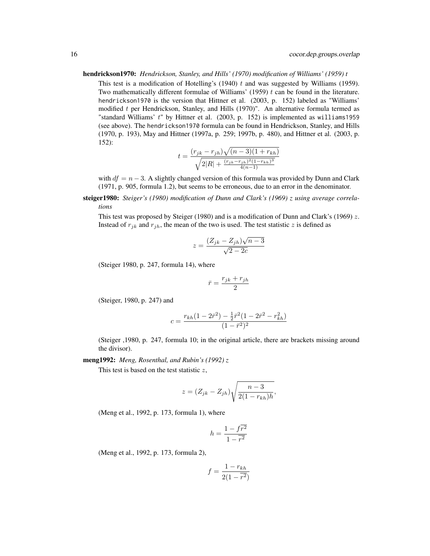#### hendrickson1970: *Hendrickson, Stanley, and Hills' (1970) modification of Williams' (1959) t*

This test is a modification of Hotelling's (1940)  $t$  and was suggested by Williams (1959). Two mathematically different formulae of Williams' (1959)  $t$  can be found in the literature. hendrickson1970 is the version that Hittner et al. (2003, p. 152) labeled as "Williams' modified  $t$  per Hendrickson, Stanley, and Hills (1970)". An alternative formula termed as "standard Williams'  $t$ " by Hittner et al. (2003, p. 152) is implemented as williams1959 (see above). The hendrickson1970 formula can be found in Hendrickson, Stanley, and Hills (1970, p. 193), May and Hittner (1997a, p. 259; 1997b, p. 480), and Hittner et al. (2003, p. 152):

$$
t = \frac{(r_{jk} - r_{jh})\sqrt{(n-3)(1 + r_{kh})}}{\sqrt{2|R| + \frac{(r_{jk} - r_{jh})^2(1 - r_{kh})^3}{4(n-1)}}}
$$

with  $df = n - 3$ . A slightly changed version of this formula was provided by Dunn and Clark (1971, p. 905, formula 1.2), but seems to be erroneous, due to an error in the denominator.

steiger1980: *Steiger's (1980) modification of Dunn and Clark's (1969) z using average correlations*

This test was proposed by Steiger (1980) and is a modification of Dunn and Clark's (1969)  $z$ . Instead of  $r_{ik}$  and  $r_{ih}$ , the mean of the two is used. The test statistic z is defined as

$$
z = \frac{(Z_{jk} - Z_{jh})\sqrt{n-3}}{\sqrt{2-2c}}
$$

(Steiger 1980, p. 247, formula 14), where

$$
\bar{r} = \frac{r_{jk} + r_{jh}}{2}
$$

(Steiger, 1980, p. 247) and

$$
c = \frac{r_{kh}(1 - 2\bar{r}^2) - \frac{1}{2}\bar{r}^2(1 - 2\bar{r}^2 - r_{kh}^2)}{(1 - \bar{r}^2)^2}
$$

(Steiger ,1980, p. 247, formula 10; in the original article, there are brackets missing around the divisor).

meng1992: *Meng, Rosenthal, and Rubin's (1992) z*

This test is based on the test statistic  $z$ ,

$$
z = (Z_{jk} - Z_{jh}) \sqrt{\frac{n-3}{2(1 - r_{kh})h}},
$$

(Meng et al., 1992, p. 173, formula 1), where

$$
h=\frac{1-f\overline{r^2}}{1-\overline{r^2}}
$$

(Meng et al., 1992, p. 173, formula 2),

$$
f = \frac{1 - r_{kh}}{2(1 - \overline{r^2})}
$$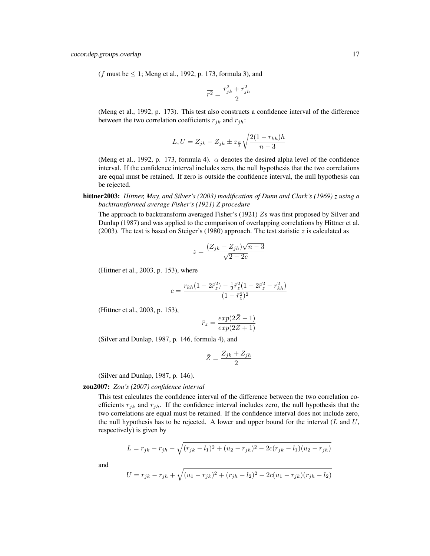(f must be  $\leq 1$ ; Meng et al., 1992, p. 173, formula 3), and

$$
\overline{r^2} = \frac{r_{jk}^2 + r_{jh}^2}{2}
$$

(Meng et al., 1992, p. 173). This test also constructs a confidence interval of the difference between the two correlation coefficients  $r_{jk}$  and  $r_{jh}$ :

$$
L, U = Z_{jk} - Z_{jk} \pm z_{\frac{\alpha}{2}} \sqrt{\frac{2(1 - r_{kh})h}{n - 3}}
$$

(Meng et al., 1992, p. 173, formula 4).  $\alpha$  denotes the desired alpha level of the confidence interval. If the confidence interval includes zero, the null hypothesis that the two correlations are equal must be retained. If zero is outside the confidence interval, the null hypothesis can be rejected.

#### hittner2003: *Hittner, May, and Silver's (2003) modification of Dunn and Clark's (1969) z using a backtransformed average Fisher's (1921) Z procedure*

The approach to backtransform averaged Fisher's (1921) Zs was first proposed by Silver and Dunlap (1987) and was applied to the comparison of overlapping correlations by Hittner et al. (2003). The test is based on Steiger's (1980) approach. The test statistic z is calculated as

$$
z = \frac{(Z_{jk} - Z_{jh})\sqrt{n-3}}{\sqrt{2-2c}}
$$

(Hittner et al., 2003, p. 153), where

$$
c = \frac{r_{kh}(1 - 2\bar{r}_z^2) - \frac{1}{2}\bar{r}_z^2(1 - 2\bar{r}_z^2 - r_{kh}^2)}{(1 - \bar{r}_z^2)^2}
$$

(Hittner et al., 2003, p. 153),

$$
\bar{r}_z = \frac{\exp(2\bar{Z} - 1)}{\exp(2\bar{Z} + 1)}
$$

(Silver and Dunlap, 1987, p. 146, formula 4), and

$$
\bar{Z} = \frac{Z_{jk} + Z_{jh}}{2}
$$

(Silver and Dunlap, 1987, p. 146).

#### zou2007: *Zou's (2007) confidence interval*

This test calculates the confidence interval of the difference between the two correlation coefficients  $r_{jk}$  and  $r_{jh}$ . If the confidence interval includes zero, the null hypothesis that the two correlations are equal must be retained. If the confidence interval does not include zero, the null hypothesis has to be rejected. A lower and upper bound for the interval  $(L \text{ and } U,$ respectively) is given by

$$
L = r_{jk} - r_{jh} - \sqrt{(r_{jk} - l_1)^2 + (u_2 - r_{jh})^2 - 2c(r_{jk} - l_1)(u_2 - r_{jh})}
$$

and

$$
U = r_{jk} - r_{jh} + \sqrt{(u_1 - r_{jk})^2 + (r_{jh} - l_2)^2 - 2c(u_1 - r_{jk})(r_{jh} - l_2)}
$$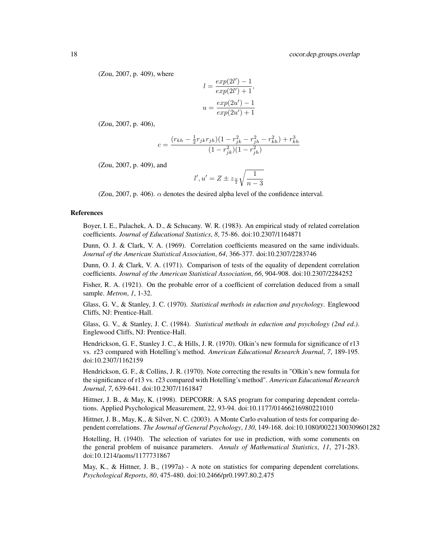(Zou, 2007, p. 409), where

$$
l = \frac{exp(2l') - 1}{exp(2l') + 1},
$$

$$
u = \frac{exp(2u') - 1}{exp(2u') + 1}
$$

(Zou, 2007, p. 406),

$$
c = \frac{(r_{kh}-\frac{1}{2}r_{jk}r_{jh})(1-r_{jk}^2-r_{jh}^2-r_{kh}^2)+r_{kh}^3}{(1-r_{jk}^2)(1-r_{jh}^2)}
$$

(Zou, 2007, p. 409), and

$$
l', u' = Z \pm z_{\frac{\alpha}{2}} \sqrt{\frac{1}{n-3}}
$$

(Zou, 2007, p. 406).  $\alpha$  denotes the desired alpha level of the confidence interval.

#### References

Boyer, I. E., Palachek, A. D., & Schucany. W. R. (1983). An empirical study of related correlation coefficients. *Journal of Educational Statistics*, *8*, 75-86. doi:10.2307/1164871

Dunn, O. J. & Clark, V. A. (1969). Correlation coefficients measured on the same individuals. *Journal of the American Statistical Association*, *64*, 366-377. doi:10.2307/2283746

Dunn, O. J. & Clark, V. A. (1971). Comparison of tests of the equality of dependent correlation coefficients. *Journal of the American Statistical Association*, *66*, 904-908. doi:10.2307/2284252

Fisher, R. A. (1921). On the probable error of a coefficient of correlation deduced from a small sample. *Metron*, *1*, 1-32.

Glass, G. V., & Stanley, J. C. (1970). *Statistical methods in eduction and psychology*. Englewood Cliffs, NJ: Prentice-Hall.

Glass, G. V., & Stanley, J. C. (1984). *Statistical methods in eduction and psychology (2nd ed.)*. Englewood Cliffs, NJ: Prentice-Hall.

Hendrickson, G. F., Stanley J. C., & Hills, J. R. (1970). Olkin's new formula for significance of r13 vs. r23 compared with Hotelling's method. *American Educational Research Journal*, *7*, 189-195. doi:10.2307/1162159

Hendrickson, G. F., & Collins, J. R. (1970). Note correcting the results in "Olkin's new formula for the significance of r13 vs. r23 compared with Hotelling's method". *American Educational Research Journal*, *7*, 639-641. doi:10.2307/1161847

Hittner, J. B., & May, K. (1998). DEPCORR: A SAS program for comparing dependent correlations. Applied Psychological Measurement, 22, 93-94. doi:10.1177/01466216980221010

Hittner, J. B., May, K., & Silver, N. C. (2003). A Monte Carlo evaluation of tests for comparing dependent correlations. *The Journal of General Psychology*, *130*, 149-168. doi:10.1080/00221300309601282

Hotelling, H. (1940). The selection of variates for use in prediction, with some comments on the general problem of nuisance parameters. *Annals of Mathematical Statistics*, *11*, 271-283. doi:10.1214/aoms/1177731867

May, K., & Hittner, J. B., (1997a) - A note on statistics for comparing dependent correlations. *Psychological Reports*, *80*, 475-480. doi:10.2466/pr0.1997.80.2.475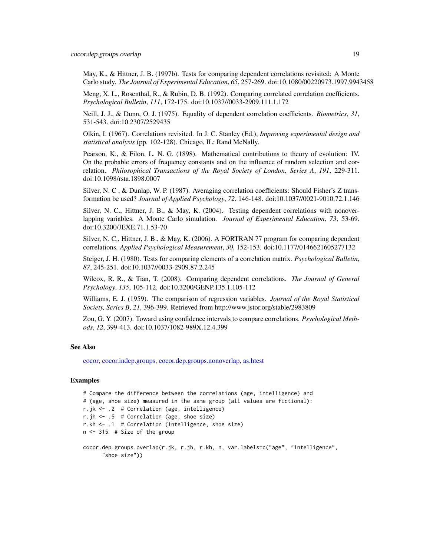<span id="page-18-0"></span>May, K., & Hittner, J. B. (1997b). Tests for comparing dependent correlations revisited: A Monte Carlo study. *The Journal of Experimental Education*, *65*, 257-269. doi:10.1080/00220973.1997.9943458

Meng, X. L., Rosenthal, R., & Rubin, D. B. (1992). Comparing correlated correlation coefficients. *Psychological Bulletin*, *111*, 172-175. doi:10.1037//0033-2909.111.1.172

Neill, J. J., & Dunn, O. J. (1975). Equality of dependent correlation coefficients. *Biometrics*, *31*, 531-543. doi:10.2307/2529435

Olkin, I. (1967). Correlations revisited. In J. C. Stanley (Ed.), *Improving experimental design and statistical analysis* (pp. 102-128). Chicago, IL: Rand McNally.

Pearson, K., & Filon, L. N. G. (1898). Mathematical contributions to theory of evolution: IV. On the probable errors of frequency constants and on the influence of random selection and correlation. *Philosophical Transactions of the Royal Society of London, Series A*, *191*, 229-311. doi:10.1098/rsta.1898.0007

Silver, N. C , & Dunlap, W. P. (1987). Averaging correlation coefficients: Should Fisher's Z transformation be used? *Journal of Applied Psychology*, *72*, 146-148. doi:10.1037//0021-9010.72.1.146

Silver, N. C., Hittner, J. B., & May, K. (2004). Testing dependent correlations with nonoverlapping variables: A Monte Carlo simulation. *Journal of Experimental Education*, *73*, 53-69. doi:10.3200/JEXE.71.1.53-70

Silver, N. C., Hittner, J. B., & May, K. (2006). A FORTRAN 77 program for comparing dependent correlations. *Applied Psychological Measurement*, *30*, 152-153. doi:10.1177/0146621605277132

Steiger, J. H. (1980). Tests for comparing elements of a correlation matrix. *Psychological Bulletin*, *87*, 245-251. doi:10.1037//0033-2909.87.2.245

Wilcox, R. R., & Tian, T. (2008). Comparing dependent correlations. *The Journal of General Psychology*, *135*, 105-112. doi:10.3200/GENP.135.1.105-112

Williams, E. J. (1959). The comparison of regression variables. *Journal of the Royal Statistical Society, Series B*, *21*, 396-399. Retrieved from http://www.jstor.org/stable/2983809

Zou, G. Y. (2007). Toward using confidence intervals to compare correlations. *Psychological Methods*, *12*, 399-413. doi:10.1037/1082-989X.12.4.399

#### See Also

[cocor,](#page-3-1) [cocor.indep.groups,](#page-19-1) [cocor.dep.groups.nonoverlap,](#page-5-1) [as.htest](#page-2-1)

#### Examples

```
# Compare the difference between the correlations (age, intelligence) and
# (age, shoe size) measured in the same group (all values are fictional):
r.jk <- .2 # Correlation (age, intelligence)
r.jh <- .5 # Correlation (age, shoe size)
r.kh <- .1 # Correlation (intelligence, shoe size)
n <- 315 # Size of the group
cocor.dep.groups.overlap(r.jk, r.jh, r.kh, n, var.labels=c("age", "intelligence",
```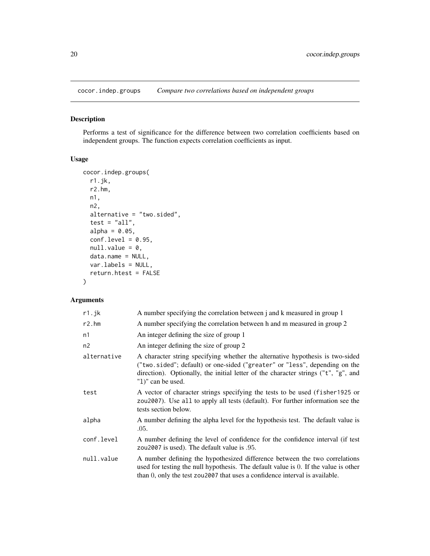<span id="page-19-1"></span><span id="page-19-0"></span>cocor.indep.groups *Compare two correlations based on independent groups*

#### Description

Performs a test of significance for the difference between two correlation coefficients based on independent groups. The function expects correlation coefficients as input.

#### Usage

```
cocor.indep.groups(
  r1.jk,
  r2.hm,
 n1,
 n2,
  alternative = "two.sided",
  test = "all",alpha = 0.05,
  conf.level = 0.95,null.value = 0,data.name = NULL,
  var.labels = NULL,
  return.htest = FALSE
\mathcal{E}
```
#### Arguments

| r1.jk       | A number specifying the correlation between j and k measured in group 1                                                                                                                                                                                                |
|-------------|------------------------------------------------------------------------------------------------------------------------------------------------------------------------------------------------------------------------------------------------------------------------|
| r2.htm      | A number specifying the correlation between h and m measured in group 2                                                                                                                                                                                                |
| n1          | An integer defining the size of group 1                                                                                                                                                                                                                                |
| n2          | An integer defining the size of group 2                                                                                                                                                                                                                                |
| alternative | A character string specifying whether the alternative hypothesis is two-sided<br>("two.sided"; default) or one-sided ("greater" or "less", depending on the<br>direction). Optionally, the initial letter of the character strings ("t", "g", and<br>"1)" can be used. |
| test        | A vector of character strings specifying the tests to be used (fisher 1925 or<br>zou2007). Use all to apply all tests (default). For further information see the<br>tests section below.                                                                               |
| alpha       | A number defining the alpha level for the hypothesis test. The default value is<br>.05.                                                                                                                                                                                |
| conf.level  | A number defining the level of confidence for the confidence interval (if test<br>zou2007 is used). The default value is .95.                                                                                                                                          |
| null.value  | A number defining the hypothesized difference between the two correlations<br>used for testing the null hypothesis. The default value is 0. If the value is other<br>than 0, only the test zou2007 that uses a confidence interval is available.                       |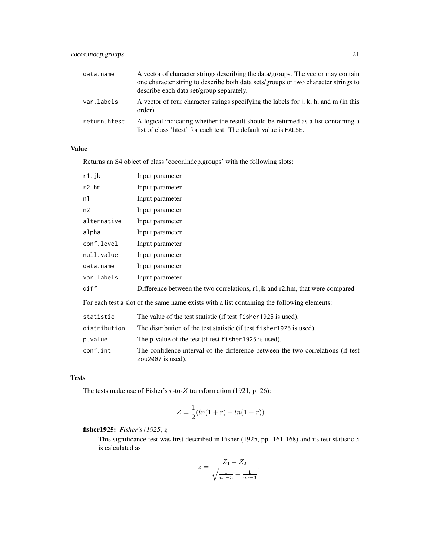| data.name    | A vector of character strings describing the data/groups. The vector may contain<br>one character string to describe both data sets/groups or two character strings to<br>describe each data set/group separately. |
|--------------|--------------------------------------------------------------------------------------------------------------------------------------------------------------------------------------------------------------------|
| var.labels   | A vector of four character strings specifying the labels for $j$ , $k$ , $h$ , and $m$ (in this<br>order).                                                                                                         |
| return.htest | A logical indicating whether the result should be returned as a list containing a<br>list of class 'htest' for each test. The default value is FALSE.                                                              |

#### Value

Returns an S4 object of class 'cocor.indep.groups' with the following slots:

| $r1$ .jk       | Input parameter                                                                |
|----------------|--------------------------------------------------------------------------------|
| r2.htm         | Input parameter                                                                |
| n1             | Input parameter                                                                |
| n2             | Input parameter                                                                |
| alternative    | Input parameter                                                                |
| alpha          | Input parameter                                                                |
| conf.level     | Input parameter                                                                |
| null.value     | Input parameter                                                                |
| data.name      | Input parameter                                                                |
| var.labels     | Input parameter                                                                |
| diff           | Difference between the two correlations, r1.jk and r2.hm, that were compared   |
| $\blacksquare$ | $\mathbf{r}$ , and the state of $\mathbf{r}$ and $\mathbf{r}$ and $\mathbf{r}$ |

For each test a slot of the same name exists with a list containing the following elements:

| statistic    | The value of the test statistic (if test f i sher 1925 is used).                                        |
|--------------|---------------------------------------------------------------------------------------------------------|
| distribution | The distribution of the test statistic (if test f i sher 1925 is used).                                 |
| p.value      | The p-value of the test (if test f i sher 1925 is used).                                                |
| conf.int     | The confidence interval of the difference between the two correlations (if test<br>zou $2007$ is used). |

#### Tests

The tests make use of Fisher's  $r$ -to- $Z$  transformation (1921, p. 26):

$$
Z = \frac{1}{2}(ln(1+r) - ln(1-r)).
$$

fisher1925: *Fisher's (1925) z*

This significance test was first described in Fisher (1925, pp. 161-168) and its test statistic  $z$ is calculated as

$$
z = \frac{Z_1 - Z_2}{\sqrt{\frac{1}{n_1 - 3} + \frac{1}{n_2 - 3}}}.
$$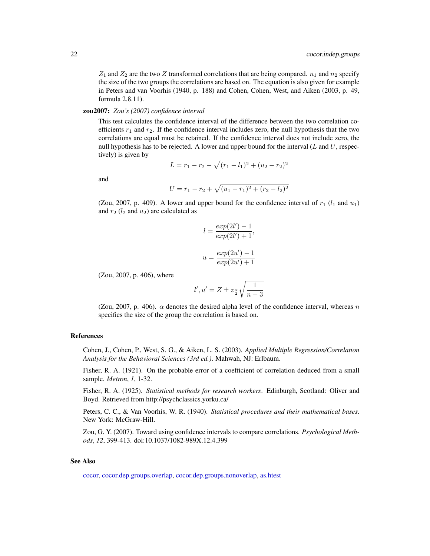<span id="page-21-0"></span> $Z_1$  and  $Z_2$  are the two Z transformed correlations that are being compared.  $n_1$  and  $n_2$  specify the size of the two groups the correlations are based on. The equation is also given for example in Peters and van Voorhis (1940, p. 188) and Cohen, Cohen, West, and Aiken (2003, p. 49, formula 2.8.11).

#### zou2007: *Zou's (2007) confidence interval*

This test calculates the confidence interval of the difference between the two correlation coefficients  $r_1$  and  $r_2$ . If the confidence interval includes zero, the null hypothesis that the two correlations are equal must be retained. If the confidence interval does not include zero, the null hypothesis has to be rejected. A lower and upper bound for the interval  $(L \text{ and } U, \text{respec-}$ tively) is given by

$$
L = r_1 - r_2 - \sqrt{(r_1 - l_1)^2 + (u_2 - r_2)^2}
$$

and

$$
U = r_1 - r_2 + \sqrt{(u_1 - r_1)^2 + (r_2 - l_2)^2}
$$

(Zou, 2007, p. 409). A lower and upper bound for the confidence interval of  $r_1$  ( $l_1$  and  $u_1$ ) and  $r_2$  ( $l_2$  and  $u_2$ ) are calculated as

$$
l = \frac{exp(2l') - 1}{exp(2l') + 1},
$$
  

$$
u = \frac{exp(2u') - 1}{exp(2u') + 1}
$$

(Zou, 2007, p. 406), where

$$
l',u'=Z\pm z_{\frac{\alpha}{2}}\sqrt{\frac{1}{n-3}}
$$

(Zou, 2007, p. 406).  $\alpha$  denotes the desired alpha level of the confidence interval, whereas n specifies the size of the group the correlation is based on.

#### References

Cohen, J., Cohen, P., West, S. G., & Aiken, L. S. (2003). *Applied Multiple Regression/Correlation Analysis for the Behavioral Sciences (3rd ed.)*. Mahwah, NJ: Erlbaum.

Fisher, R. A. (1921). On the probable error of a coefficient of correlation deduced from a small sample. *Metron*, *1*, 1-32.

Fisher, R. A. (1925). *Statistical methods for research workers*. Edinburgh, Scotland: Oliver and Boyd. Retrieved from http://psychclassics.yorku.ca/

Peters, C. C., & Van Voorhis, W. R. (1940). *Statistical procedures and their mathematical bases*. New York: McGraw-Hill.

Zou, G. Y. (2007). Toward using confidence intervals to compare correlations. *Psychological Methods*, *12*, 399-413. doi:10.1037/1082-989X.12.4.399

#### See Also

[cocor,](#page-3-1) [cocor.dep.groups.overlap,](#page-11-1) [cocor.dep.groups.nonoverlap,](#page-5-1) [as.htest](#page-2-1)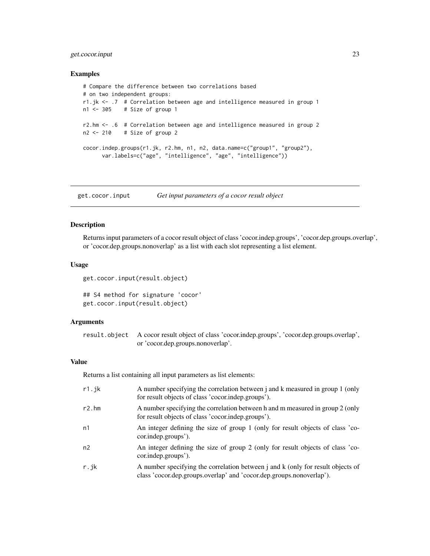#### <span id="page-22-0"></span>get.cocor.input 23

#### Examples

```
# Compare the difference between two correlations based
# on two independent groups:
r1.jk <- .7 # Correlation between age and intelligence measured in group 1
n1 <- 305 # Size of group 1
r2.hm <- .6 # Correlation between age and intelligence measured in group 2
n2 <- 210 # Size of group 2
cocor.indep.groups(r1.jk, r2.hm, n1, n2, data.name=c("group1", "group2"),
      var.labels=c("age", "intelligence", "age", "intelligence"))
```
<span id="page-22-1"></span>get.cocor.input *Get input parameters of a cocor result object*

#### Description

Returns input parameters of a cocor result object of class 'cocor.indep.groups', 'cocor.dep.groups.overlap', or 'cocor.dep.groups.nonoverlap' as a list with each slot representing a list element.

#### Usage

get.cocor.input(result.object)

```
## S4 method for signature 'cocor'
get.cocor.input(result.object)
```
#### **Arguments**

result.object A cocor result object of class 'cocor.indep.groups', 'cocor.dep.groups.overlap', or 'cocor.dep.groups.nonoverlap'.

#### Value

Returns a list containing all input parameters as list elements:

| r1.jk  | A number specifying the correlation between j and k measured in group 1 (only<br>for result objects of class 'cocor.indep.groups').                     |
|--------|---------------------------------------------------------------------------------------------------------------------------------------------------------|
| r2.htm | A number specifying the correlation between h and m measured in group 2 (only<br>for result objects of class 'cocor.indep.groups').                     |
| n1     | An integer defining the size of group 1 (only for result objects of class 'co-<br>cor.indep.groups').                                                   |
| n2     | An integer defining the size of group 2 (only for result objects of class 'co-<br>cor.indep.groups').                                                   |
| r.jk   | A number specifying the correlation between j and k (only for result objects of<br>class 'cocor.dep.groups.overlap' and 'cocor.dep.groups.nonoverlap'). |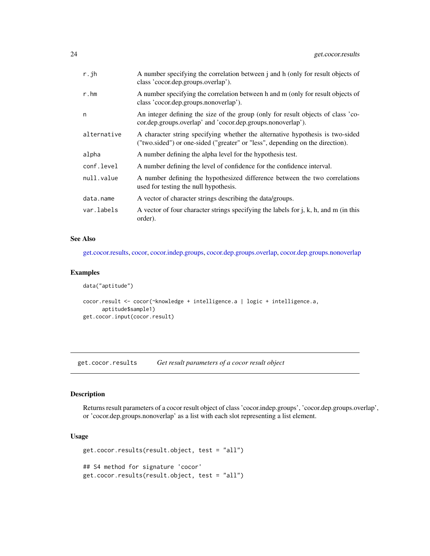<span id="page-23-0"></span>

| r.jh        | A number specifying the correlation between j and h (only for result objects of<br>class 'cocor.dep.groups.overlap').                                          |
|-------------|----------------------------------------------------------------------------------------------------------------------------------------------------------------|
| r.hm        | A number specifying the correlation between h and m (only for result objects of<br>class 'cocor.dep.groups.nonoverlap').                                       |
| n           | An integer defining the size of the group (only for result objects of class 'co-<br>cor.dep.groups.overlap' and 'cocor.dep.groups.nonoverlap').                |
| alternative | A character string specifying whether the alternative hypothesis is two-sided<br>("two.sided") or one-sided ("greater" or "less", depending on the direction). |
| alpha       | A number defining the alpha level for the hypothesis test.                                                                                                     |
| conf.level  | A number defining the level of confidence for the confidence interval.                                                                                         |
| null.value  | A number defining the hypothesized difference between the two correlations<br>used for testing the null hypothesis.                                            |
| data.name   | A vector of character strings describing the data/groups.                                                                                                      |
| var.labels  | A vector of four character strings specifying the labels for $\mathbf{j}$ , k, h, and m (in this<br>order).                                                    |

#### See Also

[get.cocor.results,](#page-23-1) [cocor,](#page-3-1) [cocor.indep.groups,](#page-19-1) [cocor.dep.groups.overlap,](#page-11-1) [cocor.dep.groups.nonoverlap](#page-5-1)

#### Examples

```
data("aptitude")
cocor.result <- cocor(~knowledge + intelligence.a | logic + intelligence.a,
     aptitude$sample1)
get.cocor.input(cocor.result)
```
<span id="page-23-1"></span>get.cocor.results *Get result parameters of a cocor result object*

#### Description

Returns result parameters of a cocor result object of class 'cocor.indep.groups', 'cocor.dep.groups.overlap', or 'cocor.dep.groups.nonoverlap' as a list with each slot representing a list element.

#### Usage

```
get.cocor.results(result.object, test = "all")
## S4 method for signature 'cocor'
get.cocor.results(result.object, test = "all")
```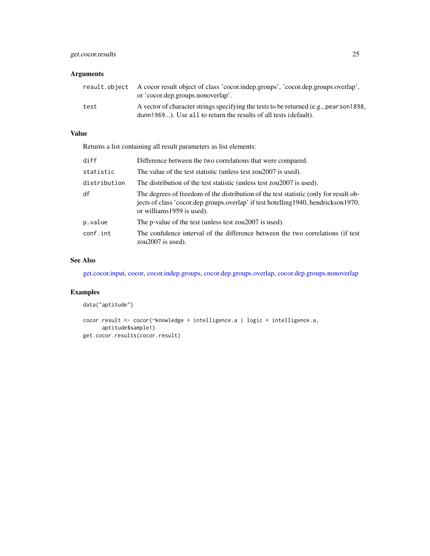### <span id="page-24-0"></span>get.cocor.results 25

#### Arguments

|      | result.object A cocor result object of class 'cocor.indep.groups', 'cocor.dep.groups.overlap',<br>or 'cocor.dep.groups.nonoverlap'.                         |
|------|-------------------------------------------------------------------------------------------------------------------------------------------------------------|
| test | A vector of character strings specifying the tests to be returned (e.g., pearson 1898,<br>dunn 1969). Use all to return the results of all tests (default). |

#### Value

Returns a list containing all result parameters as list elements:

| diff         | Difference between the two correlations that were compared.                                                                                                                                                |
|--------------|------------------------------------------------------------------------------------------------------------------------------------------------------------------------------------------------------------|
| statistic    | The value of the test statistic (unless test zou2007 is used).                                                                                                                                             |
| distribution | The distribution of the test statistic (unless test zou2007 is used).                                                                                                                                      |
| df           | The degrees of freedom of the distribution of the test statistic (only for result ob-<br>jects of class 'cocor.dep.groups.overlap' if test hotelling 1940, hendrickson 1970,<br>or williams 1959 is used). |
| p.value      | The p-value of the test (unless test zou2007 is used).                                                                                                                                                     |
| conf.int     | The confidence interval of the difference between the two correlations (if test)<br>zou $2007$ is used).                                                                                                   |

### See Also

[get.cocor.input,](#page-22-1) [cocor,](#page-3-1) [cocor.indep.groups,](#page-19-1) [cocor.dep.groups.overlap,](#page-11-1) [cocor.dep.groups.nonoverlap](#page-5-1)

### Examples

```
data("aptitude")
```

```
cocor.result <- cocor(~knowledge + intelligence.a | logic + intelligence.a,
      aptitude$sample1)
get.cocor.results(cocor.result)
```